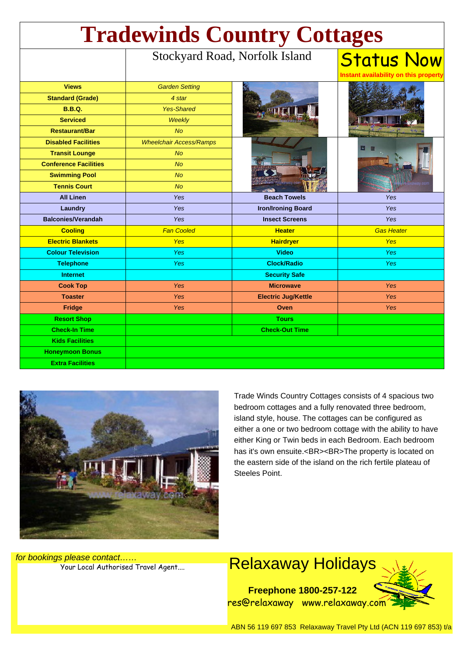| <b>Tradewinds Country Cottages</b> |                                |                            |                                                           |
|------------------------------------|--------------------------------|----------------------------|-----------------------------------------------------------|
|                                    | Stockyard Road, Norfolk Island |                            | <b>Status Now</b><br>Instant availability on this propert |
| <b>Views</b>                       | <b>Garden Setting</b>          |                            |                                                           |
| <b>Standard (Grade)</b>            | 4 star                         |                            |                                                           |
| <b>B.B.Q.</b>                      | <b>Yes-Shared</b>              |                            |                                                           |
| <b>Serviced</b>                    | <b>Weekly</b>                  |                            |                                                           |
| <b>Restaurant/Bar</b>              | <b>No</b>                      |                            |                                                           |
| <b>Disabled Facilities</b>         | <b>Wheelchair Access/Ramps</b> |                            |                                                           |
| <b>Transit Lounge</b>              | <b>No</b>                      |                            |                                                           |
| <b>Conference Facilities</b>       | <b>No</b>                      |                            |                                                           |
| <b>Swimming Pool</b>               | <b>No</b>                      |                            |                                                           |
| <b>Tennis Court</b>                | <b>No</b>                      | vay oo                     |                                                           |
| <b>All Linen</b>                   | Yes                            | <b>Beach Towels</b>        | Yes                                                       |
| Laundry                            | Yes                            | <b>Iron/Ironing Board</b>  | Yes                                                       |
| <b>Balconies/Verandah</b>          | Yes                            | <b>Insect Screens</b>      | <b>Yes</b>                                                |
| <b>Cooling</b>                     | <b>Fan Cooled</b>              | <b>Heater</b>              | <b>Gas Heater</b>                                         |
| <b>Electric Blankets</b>           | <b>Yes</b>                     | <b>Hairdryer</b>           | <b>Yes</b>                                                |
| <b>Colour Television</b>           | <b>Yes</b>                     | <b>Video</b>               | <b>Yes</b>                                                |
| <b>Telephone</b>                   | Yes                            | <b>Clock/Radio</b>         | <b>Yes</b>                                                |
| <b>Internet</b>                    |                                | <b>Security Safe</b>       |                                                           |
| <b>Cook Top</b>                    | Yes                            | <b>Microwave</b>           | <b>Yes</b>                                                |
| <b>Toaster</b>                     | Yes                            | <b>Electric Jug/Kettle</b> | <b>Yes</b>                                                |
| <b>Fridge</b>                      | Yes                            | Oven                       | <b>Yes</b>                                                |
| <b>Resort Shop</b>                 |                                | <b>Tours</b>               |                                                           |
| <b>Check-In Time</b>               |                                | <b>Check-Out Time</b>      |                                                           |
| <b>Kids Facilities</b>             |                                |                            |                                                           |
| <b>Honeymoon Bonus</b>             |                                |                            |                                                           |
| <b>Extra Facilities</b>            |                                |                            |                                                           |



Trade Winds Country Cottages consists of 4 spacious two bedroom cottages and a fully renovated three bedroom, island style, house. The cottages can be configured as either a one or two bedroom cottage with the ability to have either King or Twin beds in each Bedroom. Each bedroom has it's own ensuite.<BR><BR>The property is located on the eastern side of the island on the rich fertile plateau of Steeles Point.

for bookings please contact……